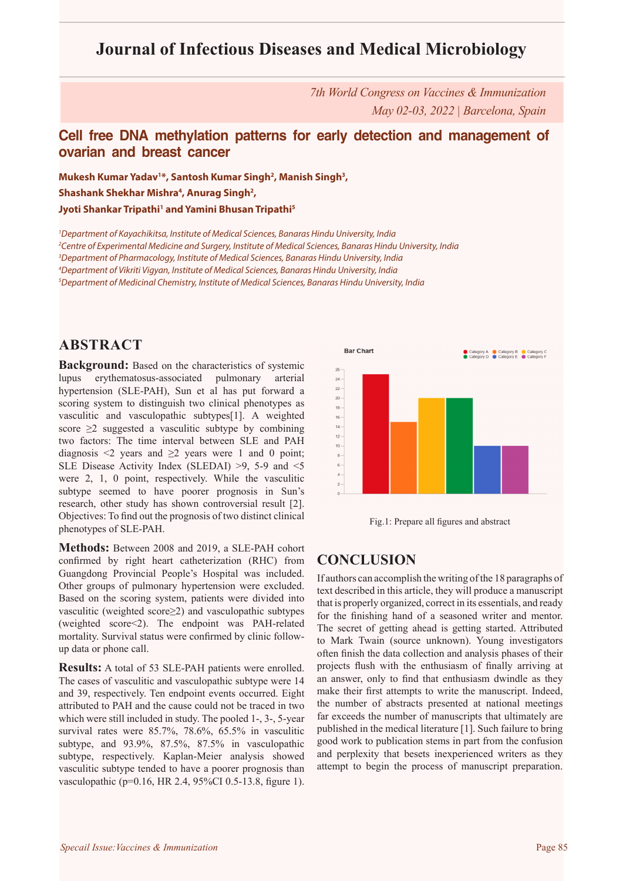# **Journal of Infectious Diseases and Medical Microbiology**

*7th World Congress on Vaccines & Immunization May 02-03, 2022 | Barcelona, Spain*

### **Cell free DNA methylation patterns for early detection and management of ovarian and breast cancer**

**Mukesh Kumar Yadav1 \*, Santosh Kumar Singh2 , Manish Singh3 ,**  Shashank Shekhar Mishra<sup>4</sup>, Anurag Singh<sup>2</sup>, **Jyoti Shankar Tripathi1 and Yamini Bhusan Tripathi5**

 *Department of Kayachikitsa, Institute of Medical Sciences, Banaras Hindu University, India Centre of Experimental Medicine and Surgery, Institute of Medical Sciences, Banaras Hindu University, India Department of Pharmacology, Institute of Medical Sciences, Banaras Hindu University, India Department of Vikriti Vigyan, Institute of Medical Sciences, Banaras Hindu University, India Department of Medicinal Chemistry, Institute of Medical Sciences, Banaras Hindu University, India*

### **ABSTRACT**

**Background:** Based on the characteristics of systemic lupus erythematosus-associated pulmonary arterial hypertension (SLE-PAH), Sun et al has put forward a scoring system to distinguish two clinical phenotypes as vasculitic and vasculopathic subtypes[1]. A weighted score  $\geq$ 2 suggested a vasculitic subtype by combining two factors: The time interval between SLE and PAH diagnosis  $\leq 2$  years and  $\geq 2$  years were 1 and 0 point; SLE Disease Activity Index (SLEDAI) >9, 5-9 and <5 were 2, 1, 0 point, respectively. While the vasculitic subtype seemed to have poorer prognosis in Sun's research, other study has shown controversial result [2]. Objectives: To find out the prognosis of two distinct clinical phenotypes of SLE-PAH.

**Methods:** Between 2008 and 2019, a SLE-PAH cohort confirmed by right heart catheterization (RHC) from Guangdong Provincial People's Hospital was included. Other groups of pulmonary hypertension were excluded. Based on the scoring system, patients were divided into vasculitic (weighted score≥2) and vasculopathic subtypes (weighted score<2). The endpoint was PAH-related mortality. Survival status were confirmed by clinic followup data or phone call.

**Results:** A total of 53 SLE-PAH patients were enrolled. The cases of vasculitic and vasculopathic subtype were 14 and 39, respectively. Ten endpoint events occurred. Eight attributed to PAH and the cause could not be traced in two which were still included in study. The pooled 1-, 3-, 5-year survival rates were 85.7%, 78.6%, 65.5% in vasculitic subtype, and 93.9%, 87.5%, 87.5% in vasculopathic subtype, respectively. Kaplan-Meier analysis showed vasculitic subtype tended to have a poorer prognosis than vasculopathic (p=0.16, HR 2.4, 95%CI 0.5-13.8, figure 1).





### **CONCLUSION**

If authors can accomplish the writing of the 18 paragraphs of text described in this article, they will produce a manuscript that is properly organized, correct in its essentials, and ready for the finishing hand of a seasoned writer and mentor. The secret of getting ahead is getting started. Attributed to Mark Twain (source unknown). Young investigators often finish the data collection and analysis phases of their projects flush with the enthusiasm of finally arriving at an answer, only to find that enthusiasm dwindle as they make their first attempts to write the manuscript. Indeed, the number of abstracts presented at national meetings far exceeds the number of manuscripts that ultimately are published in the medical literature [1]. Such failure to bring good work to publication stems in part from the confusion and perplexity that besets inexperienced writers as they attempt to begin the process of manuscript preparation.